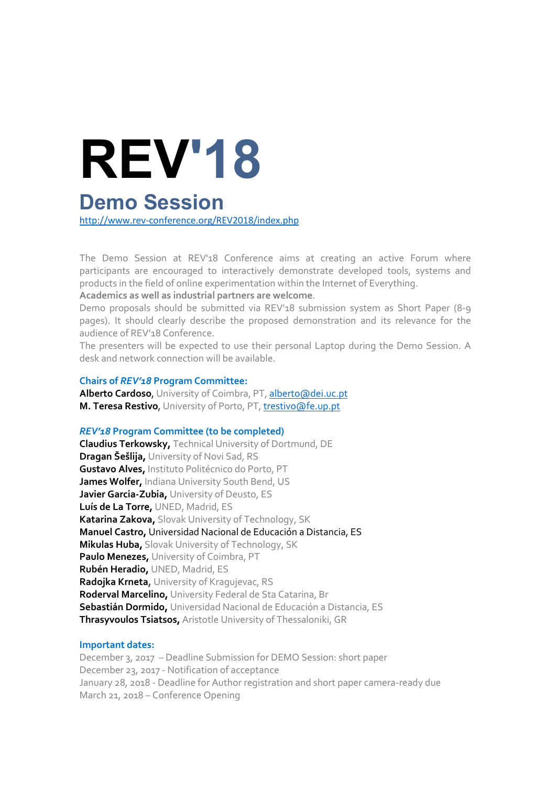# REV'18

# Demo Session

http://www.rev-conference.org/REV2018/index.php

The Demo Session at REV'18 Conference aims at creating an active Forum where participants are encouraged to interactively demonstrate developed tools, systems and products in the field of online experimentation within the Internet of Everything.

#### **Academics as well as industrial partners are welcome**.

Demo proposals should be submitted via REV'18 submission system as Short Paper (8-9 pages). It should clearly describe the proposed demonstration and its relevance for the audience of REV'18 Conference.

The presenters will be expected to use their personal Laptop during the Demo Session. A desk and network connection will be available.

#### **Chairs of** *REV'18* **Program Committee:**

**Alberto Cardoso**, University of Coimbra, PT, alberto@dei.uc.pt **M. Teresa Restivo**, University of Porto, PT, trestivo@fe.up.pt

# *REV'18* **Program Committee (to be completed)**

**Claudius Terkowsky,** Technical University of Dortmund, DE **Dragan Šešlija,** University of Novi Sad, RS **Gustavo Alves,** Instituto Politécnico do Porto, PT **James Wolfer,** Indiana University South Bend, US **Javier Garcia-Zubia,** University of Deusto, ES **Luís de La Torre,** UNED, Madrid, ES **Katarina Zakova,** Slovak University of Technology, SK **Manuel Castro,** Universidad Nacional de Educación a Distancia, ES **Mikulas Huba,** Slovak University of Technology, SK **Paulo Menezes,** University of Coimbra, PT **Rubén Heradio,** UNED, Madrid, ES **Radojka Krneta,** University of Kragujevac, RS **Roderval Marcelino,** University Federal de Sta Catarina, Br **Sebastián Dormido,** Universidad Nacional de Educación a Distancia, ES **Thrasyvoulos Tsiatsos,** Aristotle University of Thessaloniki, GR

# **Important dates:**

December 3, 2017 – Deadline Submission for DEMO Session: short paper December 23, 2017 - Notification of acceptance January 28, 2018 - Deadline for Author registration and short paper camera-ready due March 21, 2018 – Conference Opening